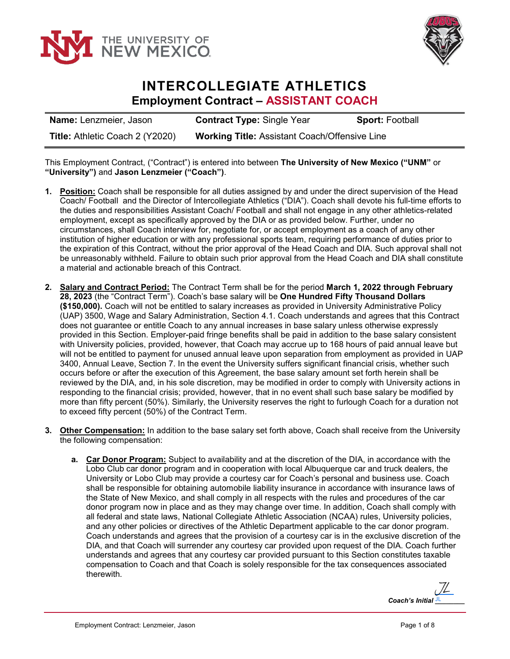



## **INTERCOLLEGIATE ATHLETICS Employment Contract – ASSISTANT COACH**

| <b>Name:</b> Lenzmeier, Jason   | <b>Contract Type: Single Year</b>                    | <b>Sport: Football</b> |
|---------------------------------|------------------------------------------------------|------------------------|
| Title: Athletic Coach 2 (Y2020) | <b>Working Title: Assistant Coach/Offensive Line</b> |                        |

This Employment Contract, ("Contract") is entered into between **The University of New Mexico ("UNM"** or **"University")** and **Jason Lenzmeier ("Coach")**.

- **1. Position:** Coach shall be responsible for all duties assigned by and under the direct supervision of the Head Coach/ Football and the Director of Intercollegiate Athletics ("DIA"). Coach shall devote his full-time efforts to the duties and responsibilities Assistant Coach/ Football and shall not engage in any other athletics-related employment, except as specifically approved by the DIA or as provided below. Further, under no circumstances, shall Coach interview for, negotiate for, or accept employment as a coach of any other institution of higher education or with any professional sports team, requiring performance of duties prior to the expiration of this Contract, without the prior approval of the Head Coach and DIA. Such approval shall not be unreasonably withheld. Failure to obtain such prior approval from the Head Coach and DIA shall constitute a material and actionable breach of this Contract.
- **2. Salary and Contract Period:** The Contract Term shall be for the period **March 1, 2022 through February 28, 2023** (the "Contract Term"). Coach's base salary will be **One Hundred Fifty Thousand Dollars (\$150,000).** Coach will not be entitled to salary increases as provided in University Administrative Policy (UAP) 3500, Wage and Salary Administration, Section 4.1. Coach understands and agrees that this Contract does not guarantee or entitle Coach to any annual increases in base salary unless otherwise expressly provided in this Section. Employer-paid fringe benefits shall be paid in addition to the base salary consistent with University policies, provided, however, that Coach may accrue up to 168 hours of paid annual leave but will not be entitled to payment for unused annual leave upon separation from employment as provided in UAP 3400, Annual Leave, Section 7. In the event the University suffers significant financial crisis, whether such occurs before or after the execution of this Agreement, the base salary amount set forth herein shall be reviewed by the DIA, and, in his sole discretion, may be modified in order to comply with University actions in responding to the financial crisis; provided, however, that in no event shall such base salary be modified by more than fifty percent (50%). Similarly, the University reserves the right to furlough Coach for a duration not to exceed fifty percent (50%) of the Contract Term.
- **3. Other Compensation:** In addition to the base salary set forth above, Coach shall receive from the University the following compensation:
	- **a. Car Donor Program:** Subject to availability and at the discretion of the DIA, in accordance with the Lobo Club car donor program and in cooperation with local Albuquerque car and truck dealers, the University or Lobo Club may provide a courtesy car for Coach's personal and business use. Coach shall be responsible for obtaining automobile liability insurance in accordance with insurance laws of the State of New Mexico, and shall comply in all respects with the rules and procedures of the car donor program now in place and as they may change over time. In addition, Coach shall comply with all federal and state laws, National Collegiate Athletic Association (NCAA) rules, University policies, and any other policies or directives of the Athletic Department applicable to the car donor program. Coach understands and agrees that the provision of a courtesy car is in the exclusive discretion of the DIA, and that Coach will surrender any courtesy car provided upon request of the DIA. Coach further understands and agrees that any courtesy car provided pursuant to this Section constitutes taxable compensation to Coach and that Coach is solely responsible for the tax consequences associated therewith.

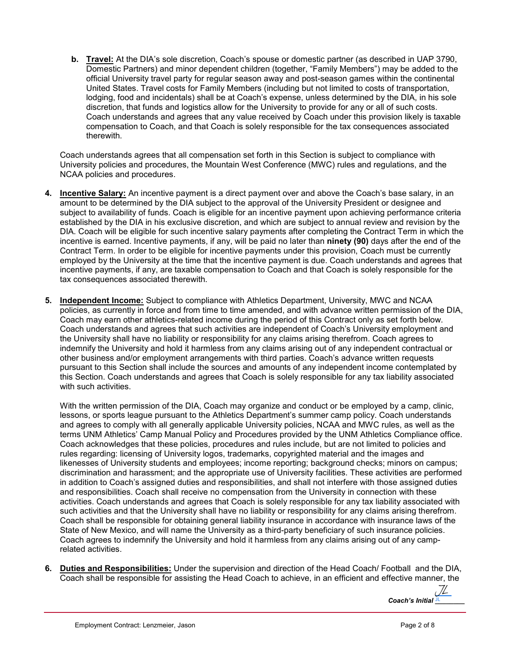**b. Travel:** At the DIA's sole discretion, Coach's spouse or domestic partner (as described in UAP 3790, Domestic Partners) and minor dependent children (together, "Family Members") may be added to the official University travel party for regular season away and post-season games within the continental United States. Travel costs for Family Members (including but not limited to costs of transportation, lodging, food and incidentals) shall be at Coach's expense, unless determined by the DIA, in his sole discretion, that funds and logistics allow for the University to provide for any or all of such costs. Coach understands and agrees that any value received by Coach under this provision likely is taxable compensation to Coach, and that Coach is solely responsible for the tax consequences associated therewith.

Coach understands agrees that all compensation set forth in this Section is subject to compliance with University policies and procedures, the Mountain West Conference (MWC) rules and regulations, and the NCAA policies and procedures.

- **4. Incentive Salary:** An incentive payment is a direct payment over and above the Coach's base salary, in an amount to be determined by the DIA subject to the approval of the University President or designee and subject to availability of funds. Coach is eligible for an incentive payment upon achieving performance criteria established by the DIA in his exclusive discretion, and which are subject to annual review and revision by the DIA. Coach will be eligible for such incentive salary payments after completing the Contract Term in which the incentive is earned. Incentive payments, if any, will be paid no later than **ninety (90)** days after the end of the Contract Term. In order to be eligible for incentive payments under this provision, Coach must be currently employed by the University at the time that the incentive payment is due. Coach understands and agrees that incentive payments, if any, are taxable compensation to Coach and that Coach is solely responsible for the tax consequences associated therewith.
- **5. Independent Income:** Subject to compliance with Athletics Department, University, MWC and NCAA policies, as currently in force and from time to time amended, and with advance written permission of the DIA, Coach may earn other athletics-related income during the period of this Contract only as set forth below. Coach understands and agrees that such activities are independent of Coach's University employment and the University shall have no liability or responsibility for any claims arising therefrom. Coach agrees to indemnify the University and hold it harmless from any claims arising out of any independent contractual or other business and/or employment arrangements with third parties. Coach's advance written requests pursuant to this Section shall include the sources and amounts of any independent income contemplated by this Section. Coach understands and agrees that Coach is solely responsible for any tax liability associated with such activities.

With the written permission of the DIA, Coach may organize and conduct or be employed by a camp, clinic, lessons, or sports league pursuant to the Athletics Department's summer camp policy. Coach understands and agrees to comply with all generally applicable University policies, NCAA and MWC rules, as well as the terms UNM Athletics' Camp Manual Policy and Procedures provided by the UNM Athletics Compliance office. Coach acknowledges that these policies, procedures and rules include, but are not limited to policies and rules regarding: licensing of University logos, trademarks, copyrighted material and the images and likenesses of University students and employees; income reporting; background checks; minors on campus; discrimination and harassment; and the appropriate use of University facilities. These activities are performed in addition to Coach's assigned duties and responsibilities, and shall not interfere with those assigned duties and responsibilities. Coach shall receive no compensation from the University in connection with these activities. Coach understands and agrees that Coach is solely responsible for any tax liability associated with such activities and that the University shall have no liability or responsibility for any claims arising therefrom. Coach shall be responsible for obtaining general liability insurance in accordance with insurance laws of the State of New Mexico, and will name the University as a third-party beneficiary of such insurance policies. Coach agrees to indemnify the University and hold it harmless from any claims arising out of any camprelated activities.

**6. Duties and Responsibilities:** Under the supervision and direction of the Head Coach/ Football and the DIA, Coach shall be responsible for assisting the Head Coach to achieve, in an efficient and effective manner, the

Coach's Initial **JL** [JL](https://secure.na2.echosign.com/verifier?tx=CBJCHBCAABAA-G21kKp2R-q45cV0wfWiNmt-QIWD_rkc)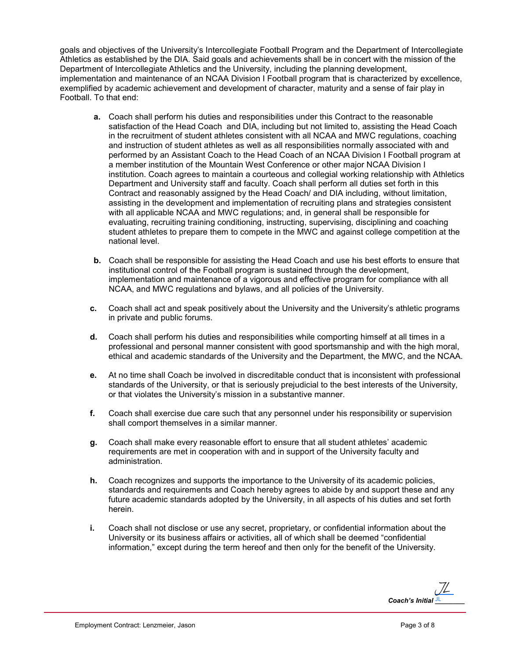goals and objectives of the University's Intercollegiate Football Program and the Department of Intercollegiate Athletics as established by the DIA. Said goals and achievements shall be in concert with the mission of the Department of Intercollegiate Athletics and the University, including the planning development, implementation and maintenance of an NCAA Division I Football program that is characterized by excellence, exemplified by academic achievement and development of character, maturity and a sense of fair play in Football. To that end:

- **a.** Coach shall perform his duties and responsibilities under this Contract to the reasonable satisfaction of the Head Coach and DIA, including but not limited to, assisting the Head Coach in the recruitment of student athletes consistent with all NCAA and MWC regulations, coaching and instruction of student athletes as well as all responsibilities normally associated with and performed by an Assistant Coach to the Head Coach of an NCAA Division I Football program at a member institution of the Mountain West Conference or other major NCAA Division I institution. Coach agrees to maintain a courteous and collegial working relationship with Athletics Department and University staff and faculty. Coach shall perform all duties set forth in this Contract and reasonably assigned by the Head Coach/ and DIA including, without limitation, assisting in the development and implementation of recruiting plans and strategies consistent with all applicable NCAA and MWC regulations; and, in general shall be responsible for evaluating, recruiting training conditioning, instructing, supervising, disciplining and coaching student athletes to prepare them to compete in the MWC and against college competition at the national level.
- **b.** Coach shall be responsible for assisting the Head Coach and use his best efforts to ensure that institutional control of the Football program is sustained through the development, implementation and maintenance of a vigorous and effective program for compliance with all NCAA, and MWC regulations and bylaws, and all policies of the University.
- **c.** Coach shall act and speak positively about the University and the University's athletic programs in private and public forums.
- **d.** Coach shall perform his duties and responsibilities while comporting himself at all times in a professional and personal manner consistent with good sportsmanship and with the high moral, ethical and academic standards of the University and the Department, the MWC, and the NCAA.
- **e.** At no time shall Coach be involved in discreditable conduct that is inconsistent with professional standards of the University, or that is seriously prejudicial to the best interests of the University, or that violates the University's mission in a substantive manner.
- **f.** Coach shall exercise due care such that any personnel under his responsibility or supervision shall comport themselves in a similar manner.
- **g.** Coach shall make every reasonable effort to ensure that all student athletes' academic requirements are met in cooperation with and in support of the University faculty and administration.
- **h.** Coach recognizes and supports the importance to the University of its academic policies, standards and requirements and Coach hereby agrees to abide by and support these and any future academic standards adopted by the University, in all aspects of his duties and set forth herein.
- **i.** Coach shall not disclose or use any secret, proprietary, or confidential information about the University or its business affairs or activities, all of which shall be deemed "confidential information," except during the term hereof and then only for the benefit of the University.

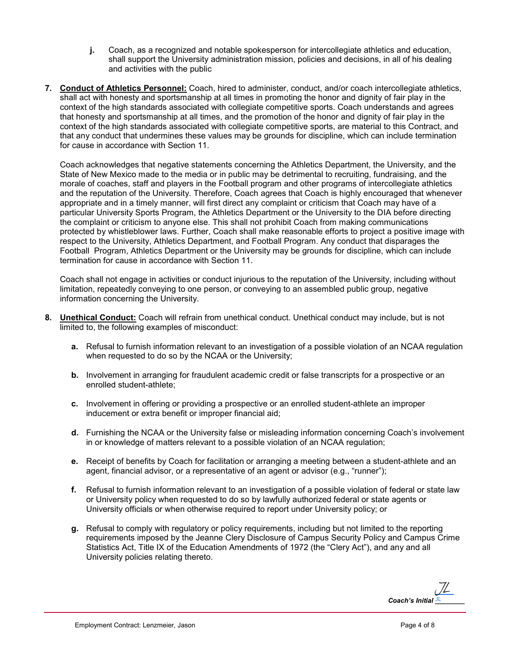- **j.** Coach, as a recognized and notable spokesperson for intercollegiate athletics and education, shall support the University administration mission, policies and decisions, in all of his dealing and activities with the public
- **7. Conduct of Athletics Personnel:** Coach, hired to administer, conduct, and/or coach intercollegiate athletics, shall act with honesty and sportsmanship at all times in promoting the honor and dignity of fair play in the context of the high standards associated with collegiate competitive sports. Coach understands and agrees that honesty and sportsmanship at all times, and the promotion of the honor and dignity of fair play in the context of the high standards associated with collegiate competitive sports, are material to this Contract, and that any conduct that undermines these values may be grounds for discipline, which can include termination for cause in accordance with Section 11.

Coach acknowledges that negative statements concerning the Athletics Department, the University, and the State of New Mexico made to the media or in public may be detrimental to recruiting, fundraising, and the morale of coaches, staff and players in the Football program and other programs of intercollegiate athletics and the reputation of the University. Therefore, Coach agrees that Coach is highly encouraged that whenever appropriate and in a timely manner, will first direct any complaint or criticism that Coach may have of a particular University Sports Program, the Athletics Department or the University to the DIA before directing the complaint or criticism to anyone else. This shall not prohibit Coach from making communications protected by whistleblower laws. Further, Coach shall make reasonable efforts to project a positive image with respect to the University, Athletics Department, and Football Program. Any conduct that disparages the Football Program, Athletics Department or the University may be grounds for discipline, which can include termination for cause in accordance with Section 11.

Coach shall not engage in activities or conduct injurious to the reputation of the University, including without limitation, repeatedly conveying to one person, or conveying to an assembled public group, negative information concerning the University.

- **8. Unethical Conduct:** Coach will refrain from unethical conduct. Unethical conduct may include, but is not limited to, the following examples of misconduct:
	- **a.** Refusal to furnish information relevant to an investigation of a possible violation of an NCAA regulation when requested to do so by the NCAA or the University;
	- **b.** Involvement in arranging for fraudulent academic credit or false transcripts for a prospective or an enrolled student-athlete;
	- **c.** Involvement in offering or providing a prospective or an enrolled student-athlete an improper inducement or extra benefit or improper financial aid;
	- **d.** Furnishing the NCAA or the University false or misleading information concerning Coach's involvement in or knowledge of matters relevant to a possible violation of an NCAA regulation;
	- **e.** Receipt of benefits by Coach for facilitation or arranging a meeting between a student-athlete and an agent, financial advisor, or a representative of an agent or advisor (e.g., "runner");
	- **f.** Refusal to furnish information relevant to an investigation of a possible violation of federal or state law or University policy when requested to do so by lawfully authorized federal or state agents or University officials or when otherwise required to report under University policy; or
	- **g.** Refusal to comply with regulatory or policy requirements, including but not limited to the reporting requirements imposed by the Jeanne Clery Disclosure of Campus Security Policy and Campus Crime Statistics Act, Title IX of the Education Amendments of 1972 (the "Clery Act"), and any and all University policies relating thereto.

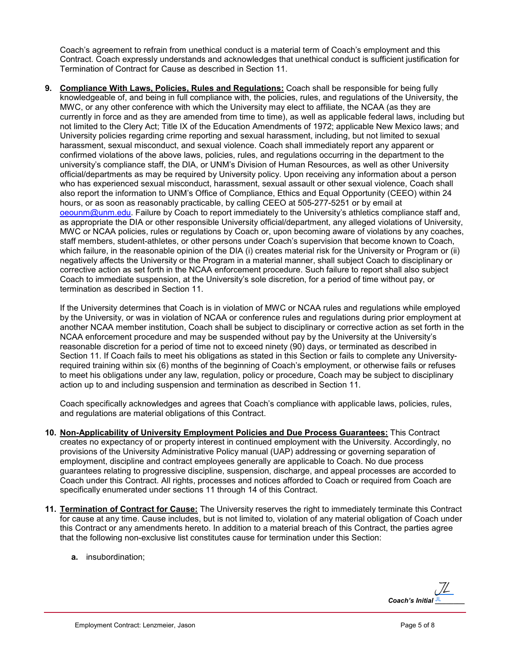Coach's agreement to refrain from unethical conduct is a material term of Coach's employment and this Contract. Coach expressly understands and acknowledges that unethical conduct is sufficient justification for Termination of Contract for Cause as described in Section 11.

**9. Compliance With Laws, Policies, Rules and Regulations:** Coach shall be responsible for being fully knowledgeable of, and being in full compliance with, the policies, rules, and regulations of the University, the MWC, or any other conference with which the University may elect to affiliate, the NCAA (as they are currently in force and as they are amended from time to time), as well as applicable federal laws, including but not limited to the Clery Act; Title IX of the Education Amendments of 1972; applicable New Mexico laws; and University policies regarding crime reporting and sexual harassment, including, but not limited to sexual harassment, sexual misconduct, and sexual violence. Coach shall immediately report any apparent or confirmed violations of the above laws, policies, rules, and regulations occurring in the department to the university's compliance staff, the DIA, or UNM's Division of Human Resources, as well as other University official/departments as may be required by University policy. Upon receiving any information about a person who has experienced sexual misconduct, harassment, sexual assault or other sexual violence, Coach shall also report the information to UNM's Office of Compliance, Ethics and Equal Opportunity (CEEO) within 24 hours, or as soon as reasonably practicable, by calling CEEO at 505-277-5251 or by email at [oeounm@unm.edu.](mailto:oeounm@unm.edu) Failure by Coach to report immediately to the University's athletics compliance staff and, as appropriate the DIA or other responsible University official/department, any alleged violations of University, MWC or NCAA policies, rules or regulations by Coach or, upon becoming aware of violations by any coaches, staff members, student-athletes, or other persons under Coach's supervision that become known to Coach, which failure, in the reasonable opinion of the DIA (i) creates material risk for the University or Program or (ii) negatively affects the University or the Program in a material manner, shall subject Coach to disciplinary or corrective action as set forth in the NCAA enforcement procedure. Such failure to report shall also subject Coach to immediate suspension, at the University's sole discretion, for a period of time without pay, or termination as described in Section 11.

If the University determines that Coach is in violation of MWC or NCAA rules and regulations while employed by the University, or was in violation of NCAA or conference rules and regulations during prior employment at another NCAA member institution, Coach shall be subject to disciplinary or corrective action as set forth in the NCAA enforcement procedure and may be suspended without pay by the University at the University's reasonable discretion for a period of time not to exceed ninety (90) days, or terminated as described in Section 11. If Coach fails to meet his obligations as stated in this Section or fails to complete any Universityrequired training within six (6) months of the beginning of Coach's employment, or otherwise fails or refuses to meet his obligations under any law, regulation, policy or procedure, Coach may be subject to disciplinary action up to and including suspension and termination as described in Section 11.

Coach specifically acknowledges and agrees that Coach's compliance with applicable laws, policies, rules, and regulations are material obligations of this Contract.

- **10. Non-Applicability of University Employment Policies and Due Process Guarantees:** This Contract creates no expectancy of or property interest in continued employment with the University. Accordingly, no provisions of the University Administrative Policy manual (UAP) addressing or governing separation of employment, discipline and contract employees generally are applicable to Coach. No due process guarantees relating to progressive discipline, suspension, discharge, and appeal processes are accorded to Coach under this Contract. All rights, processes and notices afforded to Coach or required from Coach are specifically enumerated under sections 11 through 14 of this Contract.
- **11. Termination of Contract for Cause:** The University reserves the right to immediately terminate this Contract for cause at any time. Cause includes, but is not limited to, violation of any material obligation of Coach under this Contract or any amendments hereto. In addition to a material breach of this Contract, the parties agree that the following non-exclusive list constitutes cause for termination under this Section:
	- **a.** insubordination;

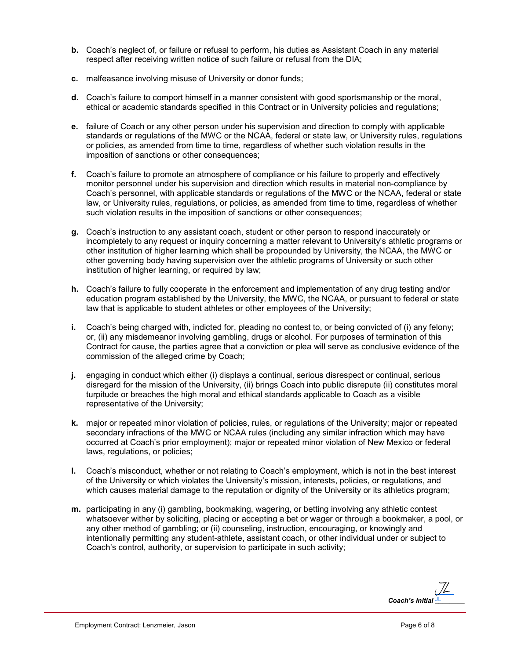- **b.** Coach's neglect of, or failure or refusal to perform, his duties as Assistant Coach in any material respect after receiving written notice of such failure or refusal from the DIA;
- **c.** malfeasance involving misuse of University or donor funds;
- **d.** Coach's failure to comport himself in a manner consistent with good sportsmanship or the moral, ethical or academic standards specified in this Contract or in University policies and regulations;
- **e.** failure of Coach or any other person under his supervision and direction to comply with applicable standards or regulations of the MWC or the NCAA, federal or state law, or University rules, regulations or policies, as amended from time to time, regardless of whether such violation results in the imposition of sanctions or other consequences;
- **f.** Coach's failure to promote an atmosphere of compliance or his failure to properly and effectively monitor personnel under his supervision and direction which results in material non-compliance by Coach's personnel, with applicable standards or regulations of the MWC or the NCAA, federal or state law, or University rules, regulations, or policies, as amended from time to time, regardless of whether such violation results in the imposition of sanctions or other consequences;
- **g.** Coach's instruction to any assistant coach, student or other person to respond inaccurately or incompletely to any request or inquiry concerning a matter relevant to University's athletic programs or other institution of higher learning which shall be propounded by University, the NCAA, the MWC or other governing body having supervision over the athletic programs of University or such other institution of higher learning, or required by law;
- **h.** Coach's failure to fully cooperate in the enforcement and implementation of any drug testing and/or education program established by the University, the MWC, the NCAA, or pursuant to federal or state law that is applicable to student athletes or other employees of the University;
- **i.** Coach's being charged with, indicted for, pleading no contest to, or being convicted of (i) any felony; or, (ii) any misdemeanor involving gambling, drugs or alcohol. For purposes of termination of this Contract for cause, the parties agree that a conviction or plea will serve as conclusive evidence of the commission of the alleged crime by Coach;
- **j.** engaging in conduct which either (i) displays a continual, serious disrespect or continual, serious disregard for the mission of the University, (ii) brings Coach into public disrepute (ii) constitutes moral turpitude or breaches the high moral and ethical standards applicable to Coach as a visible representative of the University;
- **k.** major or repeated minor violation of policies, rules, or regulations of the University; major or repeated secondary infractions of the MWC or NCAA rules (including any similar infraction which may have occurred at Coach's prior employment); major or repeated minor violation of New Mexico or federal laws, regulations, or policies;
- **l.** Coach's misconduct, whether or not relating to Coach's employment, which is not in the best interest of the University or which violates the University's mission, interests, policies, or regulations, and which causes material damage to the reputation or dignity of the University or its athletics program;
- **m.** participating in any (i) gambling, bookmaking, wagering, or betting involving any athletic contest whatsoever wither by soliciting, placing or accepting a bet or wager or through a bookmaker, a pool, or any other method of gambling; or (ii) counseling, instruction, encouraging, or knowingly and intentionally permitting any student-athlete, assistant coach, or other individual under or subject to Coach's control, authority, or supervision to participate in such activity;

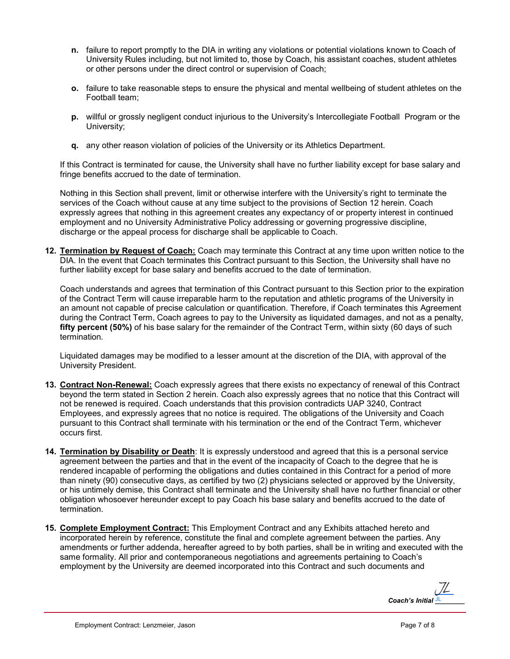- **n.** failure to report promptly to the DIA in writing any violations or potential violations known to Coach of University Rules including, but not limited to, those by Coach, his assistant coaches, student athletes or other persons under the direct control or supervision of Coach;
- **o.** failure to take reasonable steps to ensure the physical and mental wellbeing of student athletes on the Football team;
- **p.** willful or grossly negligent conduct injurious to the University's Intercollegiate Football Program or the University;
- **q.** any other reason violation of policies of the University or its Athletics Department.

If this Contract is terminated for cause, the University shall have no further liability except for base salary and fringe benefits accrued to the date of termination.

Nothing in this Section shall prevent, limit or otherwise interfere with the University's right to terminate the services of the Coach without cause at any time subject to the provisions of Section 12 herein. Coach expressly agrees that nothing in this agreement creates any expectancy of or property interest in continued employment and no University Administrative Policy addressing or governing progressive discipline, discharge or the appeal process for discharge shall be applicable to Coach.

**12. Termination by Request of Coach:** Coach may terminate this Contract at any time upon written notice to the DIA. In the event that Coach terminates this Contract pursuant to this Section, the University shall have no further liability except for base salary and benefits accrued to the date of termination.

Coach understands and agrees that termination of this Contract pursuant to this Section prior to the expiration of the Contract Term will cause irreparable harm to the reputation and athletic programs of the University in an amount not capable of precise calculation or quantification. Therefore, if Coach terminates this Agreement during the Contract Term, Coach agrees to pay to the University as liquidated damages, and not as a penalty, **fifty percent (50%)** of his base salary for the remainder of the Contract Term, within sixty (60 days of such termination.

Liquidated damages may be modified to a lesser amount at the discretion of the DIA, with approval of the University President.

- **13. Contract Non-Renewal:** Coach expressly agrees that there exists no expectancy of renewal of this Contract beyond the term stated in Section 2 herein. Coach also expressly agrees that no notice that this Contract will not be renewed is required. Coach understands that this provision contradicts UAP 3240, Contract Employees, and expressly agrees that no notice is required. The obligations of the University and Coach pursuant to this Contract shall terminate with his termination or the end of the Contract Term, whichever occurs first.
- **14. Termination by Disability or Death**: It is expressly understood and agreed that this is a personal service agreement between the parties and that in the event of the incapacity of Coach to the degree that he is rendered incapable of performing the obligations and duties contained in this Contract for a period of more than ninety (90) consecutive days, as certified by two (2) physicians selected or approved by the University, or his untimely demise, this Contract shall terminate and the University shall have no further financial or other obligation whosoever hereunder except to pay Coach his base salary and benefits accrued to the date of termination.
- **15. Complete Employment Contract:** This Employment Contract and any Exhibits attached hereto and incorporated herein by reference, constitute the final and complete agreement between the parties. Any amendments or further addenda, hereafter agreed to by both parties, shall be in writing and executed with the same formality. All prior and contemporaneous negotiations and agreements pertaining to Coach's employment by the University are deemed incorporated into this Contract and such documents and